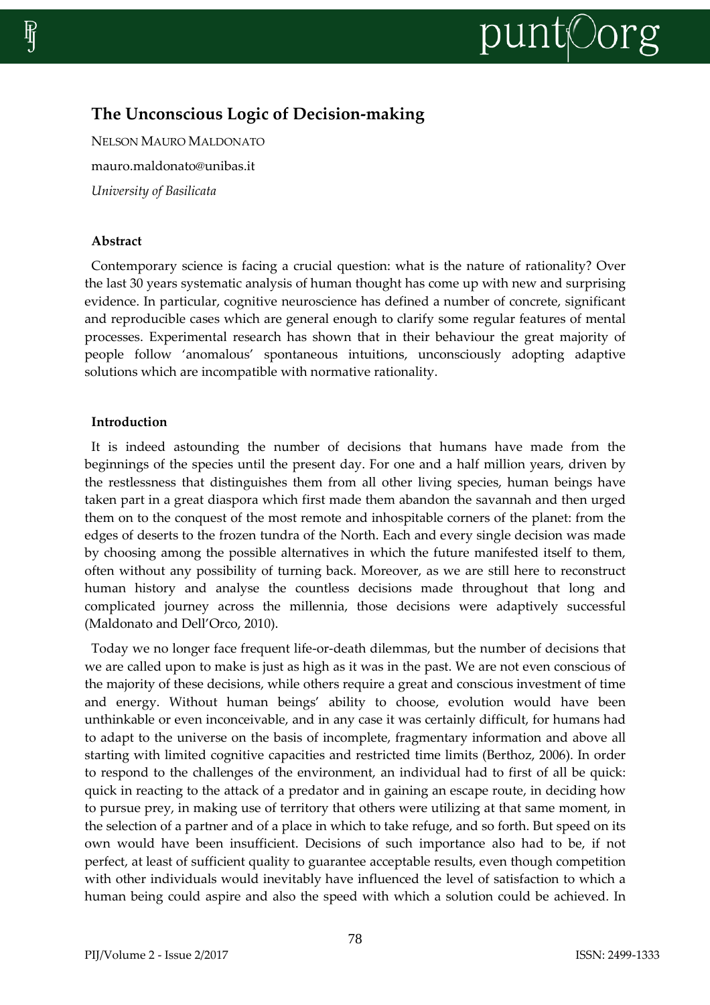

# **The Unconscious Logic of Decision-making**

NELSON MAURO MALDONATO mauro.maldonato@unibas.it *University of Basilicata*

## **Abstract**

Contemporary science is facing a crucial question: what is the nature of rationality? Over the last 30 years systematic analysis of human thought has come up with new and surprising evidence. In particular, cognitive neuroscience has defined a number of concrete, significant and reproducible cases which are general enough to clarify some regular features of mental processes. Experimental research has shown that in their behaviour the great majority of people follow 'anomalous' spontaneous intuitions, unconsciously adopting adaptive solutions which are incompatible with normative rationality.

# **Introduction**

It is indeed astounding the number of decisions that humans have made from the beginnings of the species until the present day. For one and a half million years, driven by the restlessness that distinguishes them from all other living species, human beings have taken part in a great diaspora which first made them abandon the savannah and then urged them on to the conquest of the most remote and inhospitable corners of the planet: from the edges of deserts to the frozen tundra of the North. Each and every single decision was made by choosing among the possible alternatives in which the future manifested itself to them, often without any possibility of turning back. Moreover, as we are still here to reconstruct human history and analyse the countless decisions made throughout that long and complicated journey across the millennia, those decisions were adaptively successful (Maldonato and Dell'Orco, 2010).

Today we no longer face frequent life-or-death dilemmas, but the number of decisions that we are called upon to make is just as high as it was in the past. We are not even conscious of the majority of these decisions, while others require a great and conscious investment of time and energy. Without human beings' ability to choose, evolution would have been unthinkable or even inconceivable, and in any case it was certainly difficult, for humans had to adapt to the universe on the basis of incomplete, fragmentary information and above all starting with limited cognitive capacities and restricted time limits (Berthoz, 2006). In order to respond to the challenges of the environment, an individual had to first of all be quick: quick in reacting to the attack of a predator and in gaining an escape route, in deciding how to pursue prey, in making use of territory that others were utilizing at that same moment, in the selection of a partner and of a place in which to take refuge, and so forth. But speed on its own would have been insufficient. Decisions of such importance also had to be, if not perfect, at least of sufficient quality to guarantee acceptable results, even though competition with other individuals would inevitably have influenced the level of satisfaction to which a human being could aspire and also the speed with which a solution could be achieved. In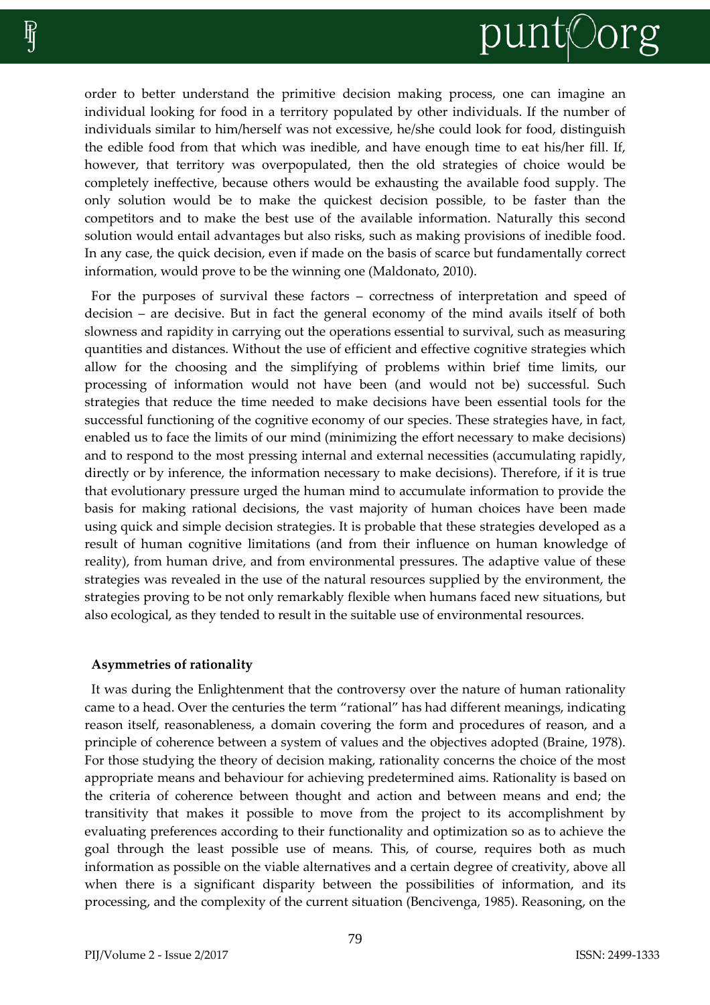

order to better understand the primitive decision making process, one can imagine an individual looking for food in a territory populated by other individuals. If the number of individuals similar to him/herself was not excessive, he/she could look for food, distinguish the edible food from that which was inedible, and have enough time to eat his/her fill. If, however, that territory was overpopulated, then the old strategies of choice would be completely ineffective, because others would be exhausting the available food supply. The only solution would be to make the quickest decision possible, to be faster than the competitors and to make the best use of the available information. Naturally this second solution would entail advantages but also risks, such as making provisions of inedible food. In any case, the quick decision, even if made on the basis of scarce but fundamentally correct information, would prove to be the winning one (Maldonato, 2010).

For the purposes of survival these factors – correctness of interpretation and speed of decision – are decisive. But in fact the general economy of the mind avails itself of both slowness and rapidity in carrying out the operations essential to survival, such as measuring quantities and distances. Without the use of efficient and effective cognitive strategies which allow for the choosing and the simplifying of problems within brief time limits, our processing of information would not have been (and would not be) successful. Such strategies that reduce the time needed to make decisions have been essential tools for the successful functioning of the cognitive economy of our species. These strategies have, in fact, enabled us to face the limits of our mind (minimizing the effort necessary to make decisions) and to respond to the most pressing internal and external necessities (accumulating rapidly, directly or by inference, the information necessary to make decisions). Therefore, if it is true that evolutionary pressure urged the human mind to accumulate information to provide the basis for making rational decisions, the vast majority of human choices have been made using quick and simple decision strategies. It is probable that these strategies developed as a result of human cognitive limitations (and from their influence on human knowledge of reality), from human drive, and from environmental pressures. The adaptive value of these strategies was revealed in the use of the natural resources supplied by the environment, the strategies proving to be not only remarkably flexible when humans faced new situations, but also ecological, as they tended to result in the suitable use of environmental resources.

#### **Asymmetries of rationality**

It was during the Enlightenment that the controversy over the nature of human rationality came to a head. Over the centuries the term "rational" has had different meanings, indicating reason itself, reasonableness, a domain covering the form and procedures of reason, and a principle of coherence between a system of values and the objectives adopted (Braine, 1978). For those studying the theory of decision making, rationality concerns the choice of the most appropriate means and behaviour for achieving predetermined aims. Rationality is based on the criteria of coherence between thought and action and between means and end; the transitivity that makes it possible to move from the project to its accomplishment by evaluating preferences according to their functionality and optimization so as to achieve the goal through the least possible use of means. This, of course, requires both as much information as possible on the viable alternatives and a certain degree of creativity, above all when there is a significant disparity between the possibilities of information, and its processing, and the complexity of the current situation (Bencivenga, 1985). Reasoning, on the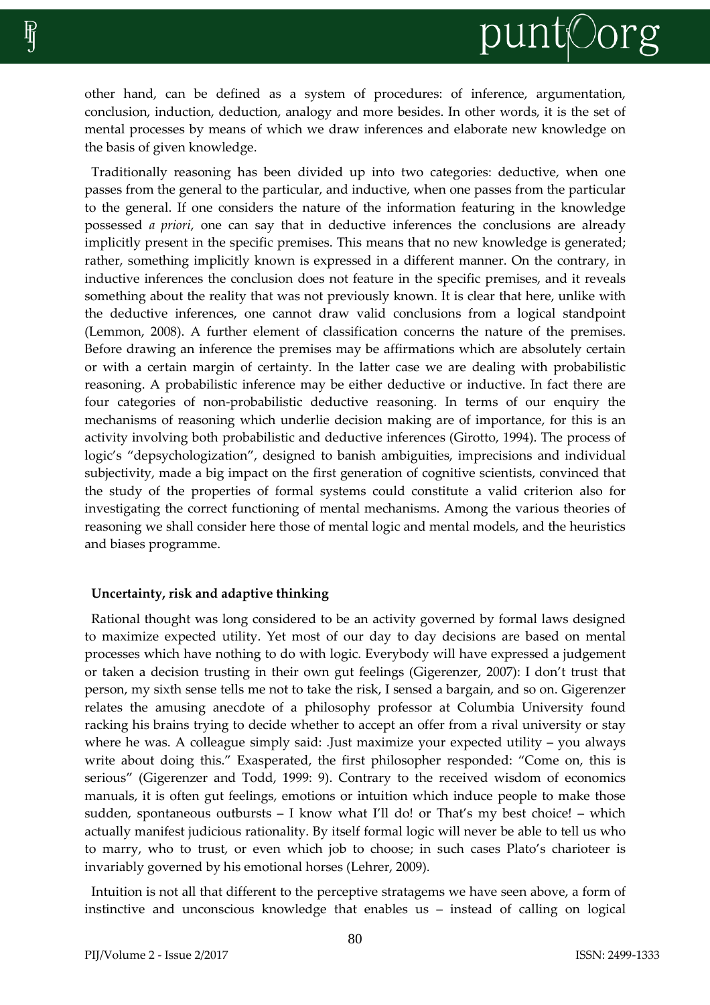other hand, can be defined as a system of procedures: of inference, argumentation, conclusion, induction, deduction, analogy and more besides. In other words, it is the set of mental processes by means of which we draw inferences and elaborate new knowledge on the basis of given knowledge.

Traditionally reasoning has been divided up into two categories: deductive, when one passes from the general to the particular, and inductive, when one passes from the particular to the general. If one considers the nature of the information featuring in the knowledge possessed *a priori*, one can say that in deductive inferences the conclusions are already implicitly present in the specific premises. This means that no new knowledge is generated; rather, something implicitly known is expressed in a different manner. On the contrary, in inductive inferences the conclusion does not feature in the specific premises, and it reveals something about the reality that was not previously known. It is clear that here, unlike with the deductive inferences, one cannot draw valid conclusions from a logical standpoint (Lemmon, 2008). A further element of classification concerns the nature of the premises. Before drawing an inference the premises may be affirmations which are absolutely certain or with a certain margin of certainty. In the latter case we are dealing with probabilistic reasoning. A probabilistic inference may be either deductive or inductive. In fact there are four categories of non-probabilistic deductive reasoning. In terms of our enquiry the mechanisms of reasoning which underlie decision making are of importance, for this is an activity involving both probabilistic and deductive inferences (Girotto, 1994). The process of logic's "depsychologization", designed to banish ambiguities, imprecisions and individual subjectivity, made a big impact on the first generation of cognitive scientists, convinced that the study of the properties of formal systems could constitute a valid criterion also for investigating the correct functioning of mental mechanisms. Among the various theories of reasoning we shall consider here those of mental logic and mental models, and the heuristics and biases programme.

## **Uncertainty, risk and adaptive thinking**

Rational thought was long considered to be an activity governed by formal laws designed to maximize expected utility. Yet most of our day to day decisions are based on mental processes which have nothing to do with logic. Everybody will have expressed a judgement or taken a decision trusting in their own gut feelings (Gigerenzer, 2007): I don't trust that person, my sixth sense tells me not to take the risk, I sensed a bargain, and so on. Gigerenzer relates the amusing anecdote of a philosophy professor at Columbia University found racking his brains trying to decide whether to accept an offer from a rival university or stay where he was. A colleague simply said: .Just maximize your expected utility – you always write about doing this." Exasperated, the first philosopher responded: "Come on, this is serious" (Gigerenzer and Todd, 1999: 9). Contrary to the received wisdom of economics manuals, it is often gut feelings, emotions or intuition which induce people to make those sudden, spontaneous outbursts – I know what I'll do! or That's my best choice! – which actually manifest judicious rationality. By itself formal logic will never be able to tell us who to marry, who to trust, or even which job to choose; in such cases Plato's charioteer is invariably governed by his emotional horses (Lehrer, 2009).

Intuition is not all that different to the perceptive stratagems we have seen above, a form of instinctive and unconscious knowledge that enables us – instead of calling on logical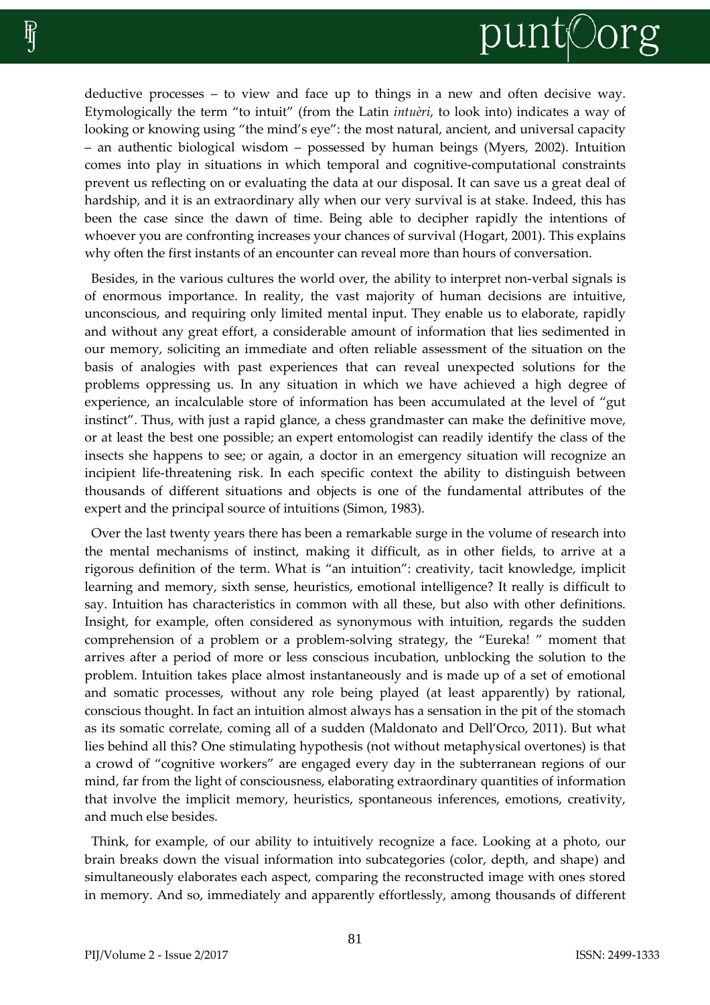

deductive processes – to view and face up to things in a new and often decisive way. Etymologically the term "to intuit" (from the Latin *intuèri*, to look into) indicates a way of looking or knowing using "the mind's eye": the most natural, ancient, and universal capacity – an authentic biological wisdom – possessed by human beings (Myers, 2002). Intuition comes into play in situations in which temporal and cognitive-computational constraints prevent us reflecting on or evaluating the data at our disposal. It can save us a great deal of hardship, and it is an extraordinary ally when our very survival is at stake. Indeed, this has been the case since the dawn of time. Being able to decipher rapidly the intentions of whoever you are confronting increases your chances of survival (Hogart, 2001). This explains why often the first instants of an encounter can reveal more than hours of conversation.

Besides, in the various cultures the world over, the ability to interpret non-verbal signals is of enormous importance. In reality, the vast majority of human decisions are intuitive, unconscious, and requiring only limited mental input. They enable us to elaborate, rapidly and without any great effort, a considerable amount of information that lies sedimented in our memory, soliciting an immediate and often reliable assessment of the situation on the basis of analogies with past experiences that can reveal unexpected solutions for the problems oppressing us. In any situation in which we have achieved a high degree of experience, an incalculable store of information has been accumulated at the level of "gut instinct". Thus, with just a rapid glance, a chess grandmaster can make the definitive move, or at least the best one possible; an expert entomologist can readily identify the class of the insects she happens to see; or again, a doctor in an emergency situation will recognize an incipient life-threatening risk. In each specific context the ability to distinguish between thousands of different situations and objects is one of the fundamental attributes of the expert and the principal source of intuitions (Simon, 1983).

Over the last twenty years there has been a remarkable surge in the volume of research into the mental mechanisms of instinct, making it difficult, as in other fields, to arrive at a rigorous definition of the term. What is "an intuition": creativity, tacit knowledge, implicit learning and memory, sixth sense, heuristics, emotional intelligence? It really is difficult to say. Intuition has characteristics in common with all these, but also with other definitions. Insight, for example, often considered as synonymous with intuition, regards the sudden comprehension of a problem or a problem-solving strategy, the "Eureka! " moment that arrives after a period of more or less conscious incubation, unblocking the solution to the problem. Intuition takes place almost instantaneously and is made up of a set of emotional and somatic processes, without any role being played (at least apparently) by rational, conscious thought. In fact an intuition almost always has a sensation in the pit of the stomach as its somatic correlate, coming all of a sudden (Maldonato and Dell'Orco, 2011). But what lies behind all this? One stimulating hypothesis (not without metaphysical overtones) is that a crowd of "cognitive workers" are engaged every day in the subterranean regions of our mind, far from the light of consciousness, elaborating extraordinary quantities of information that involve the implicit memory, heuristics, spontaneous inferences, emotions, creativity, and much else besides.

Think, for example, of our ability to intuitively recognize a face. Looking at a photo, our brain breaks down the visual information into subcategories (color, depth, and shape) and simultaneously elaborates each aspect, comparing the reconstructed image with ones stored in memory. And so, immediately and apparently effortlessly, among thousands of different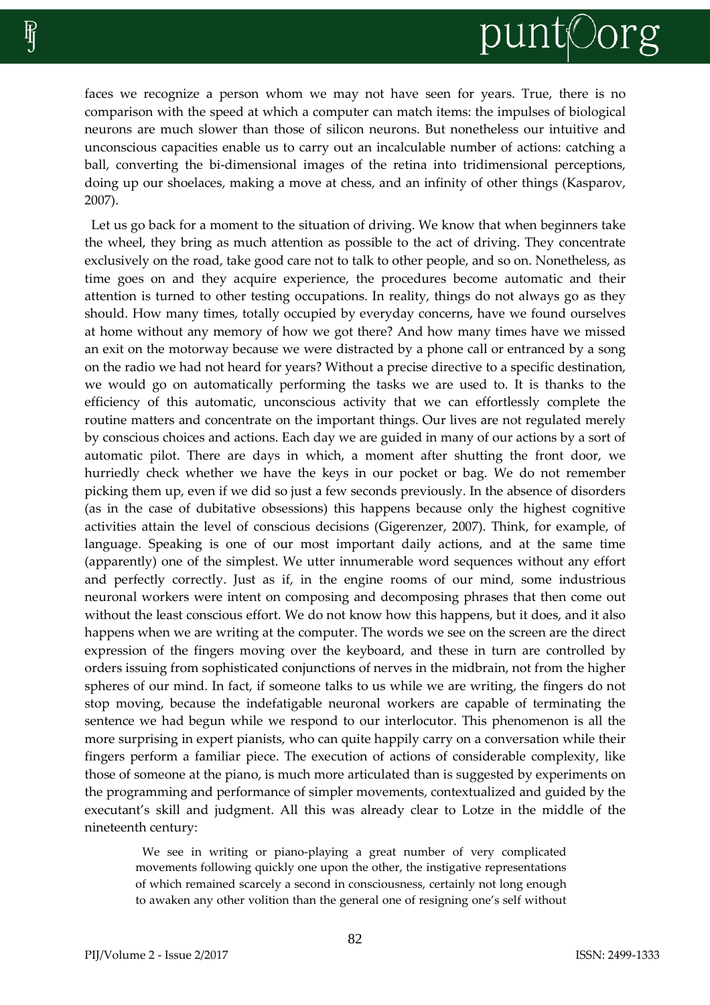# punt©org

faces we recognize a person whom we may not have seen for years. True, there is no comparison with the speed at which a computer can match items: the impulses of biological neurons are much slower than those of silicon neurons. But nonetheless our intuitive and unconscious capacities enable us to carry out an incalculable number of actions: catching a ball, converting the bi-dimensional images of the retina into tridimensional perceptions, doing up our shoelaces, making a move at chess, and an infinity of other things (Kasparov, 2007).

Let us go back for a moment to the situation of driving. We know that when beginners take the wheel, they bring as much attention as possible to the act of driving. They concentrate exclusively on the road, take good care not to talk to other people, and so on. Nonetheless, as time goes on and they acquire experience, the procedures become automatic and their attention is turned to other testing occupations. In reality, things do not always go as they should. How many times, totally occupied by everyday concerns, have we found ourselves at home without any memory of how we got there? And how many times have we missed an exit on the motorway because we were distracted by a phone call or entranced by a song on the radio we had not heard for years? Without a precise directive to a specific destination, we would go on automatically performing the tasks we are used to. It is thanks to the efficiency of this automatic, unconscious activity that we can effortlessly complete the routine matters and concentrate on the important things. Our lives are not regulated merely by conscious choices and actions. Each day we are guided in many of our actions by a sort of automatic pilot. There are days in which, a moment after shutting the front door, we hurriedly check whether we have the keys in our pocket or bag. We do not remember picking them up, even if we did so just a few seconds previously. In the absence of disorders (as in the case of dubitative obsessions) this happens because only the highest cognitive activities attain the level of conscious decisions (Gigerenzer, 2007). Think, for example, of language. Speaking is one of our most important daily actions, and at the same time (apparently) one of the simplest. We utter innumerable word sequences without any effort and perfectly correctly. Just as if, in the engine rooms of our mind, some industrious neuronal workers were intent on composing and decomposing phrases that then come out without the least conscious effort. We do not know how this happens, but it does, and it also happens when we are writing at the computer. The words we see on the screen are the direct expression of the fingers moving over the keyboard, and these in turn are controlled by orders issuing from sophisticated conjunctions of nerves in the midbrain, not from the higher spheres of our mind. In fact, if someone talks to us while we are writing, the fingers do not stop moving, because the indefatigable neuronal workers are capable of terminating the sentence we had begun while we respond to our interlocutor. This phenomenon is all the more surprising in expert pianists, who can quite happily carry on a conversation while their fingers perform a familiar piece. The execution of actions of considerable complexity, like those of someone at the piano, is much more articulated than is suggested by experiments on the programming and performance of simpler movements, contextualized and guided by the executant's skill and judgment. All this was already clear to Lotze in the middle of the nineteenth century:

We see in writing or piano-playing a great number of very complicated movements following quickly one upon the other, the instigative representations of which remained scarcely a second in consciousness, certainly not long enough to awaken any other volition than the general one of resigning one's self without